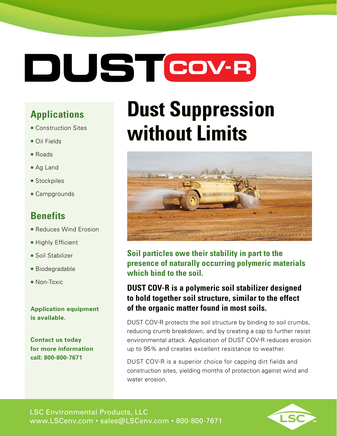# **DUSTCOV-R**

### **Applications**

- Construction Sites
- Oil Fields
- Roads
- Ag Land
- Stockpiles
- Campgrounds

### **Benefits**

- Reduces Wind Erosion
- Highly Efficient
- Soil Stabilizer
- Biodegradable
- Non-Toxic

**Application equipment is available.**

**Contact us today for more information call: 800-800-7671** 

### **Dust Suppression Dust Suppression without Limits**



**Soil particles owe their stability in part to the presence of naturally occurring polymeric materials which bind to the soil.** 

#### **DUST COV-R is a polymeric soil stabilizer designed to hold together soil structure, similar to the effect of the organic matter found in most soils.**

DUST COV-R protects the soil structure by binding to soil crumbs, reducing crumb breakdown, and by creating a cap to further resist environmental attack. Application of DUST COV-R reduces erosion up to 95% and creates excellent resistance to weather.

DUST COV-R is a superior choice for capping dirt fields and construction sites, yielding months of protection against wind and water erosion.